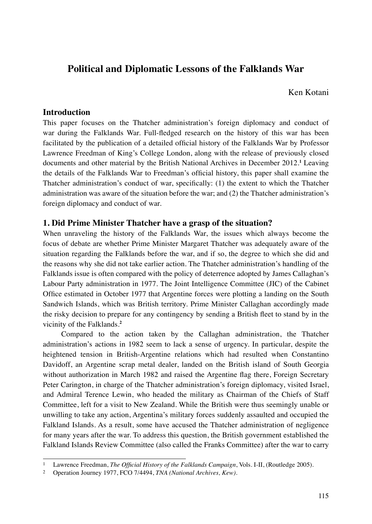# **Political and Diplomatic Lessons of the Falklands War**

Ken Kotani

## **Introduction**

This paper focuses on the Thatcher administration's foreign diplomacy and conduct of war during the Falklands War. Full-fledged research on the history of this war has been facilitated by the publication of a detailed official history of the Falklands War by Professor Lawrence Freedman of King's College London, along with the release of previously closed documents and other material by the British National Archives in December 2012.**<sup>1</sup>** Leaving the details of the Falklands War to Freedman's official history, this paper shall examine the Thatcher administration's conduct of war, specifically: (1) the extent to which the Thatcher administration was aware of the situation before the war; and (2) the Thatcher administration's foreign diplomacy and conduct of war.

## **1. Did Prime Minister Thatcher have a grasp of the situation?**

When unraveling the history of the Falklands War, the issues which always become the focus of debate are whether Prime Minister Margaret Thatcher was adequately aware of the situation regarding the Falklands before the war, and if so, the degree to which she did and the reasons why she did not take earlier action. The Thatcher administration's handling of the Falklands issue is often compared with the policy of deterrence adopted by James Callaghan's Labour Party administration in 1977. The Joint Intelligence Committee (JIC) of the Cabinet Office estimated in October 1977 that Argentine forces were plotting a landing on the South Sandwich Islands, which was British territory. Prime Minister Callaghan accordingly made the risky decision to prepare for any contingency by sending a British fleet to stand by in the vicinity of the Falklands.**<sup>2</sup>**

Compared to the action taken by the Callaghan administration, the Thatcher administration's actions in 1982 seem to lack a sense of urgency. In particular, despite the heightened tension in British-Argentine relations which had resulted when Constantino Davidoff, an Argentine scrap metal dealer, landed on the British island of South Georgia without authorization in March 1982 and raised the Argentine flag there, Foreign Secretary Peter Carington, in charge of the Thatcher administration's foreign diplomacy, visited Israel, and Admiral Terence Lewin, who headed the military as Chairman of the Chiefs of Staff Committee, left for a visit to New Zealand. While the British were thus seemingly unable or unwilling to take any action, Argentina's military forces suddenly assaulted and occupied the Falkland Islands. As a result, some have accused the Thatcher administration of negligence for many years after the war. To address this question, the British government established the Falkland Islands Review Committee (also called the Franks Committee) after the war to carry

<sup>1</sup> Lawrence Freedman, *The Official History of the Falklands Campaign*, Vols. I-II, (Routledge 2005).

<sup>2</sup> Operation Journey 1977, FCO 7/4494, *TNA (National Archives, Kew)*.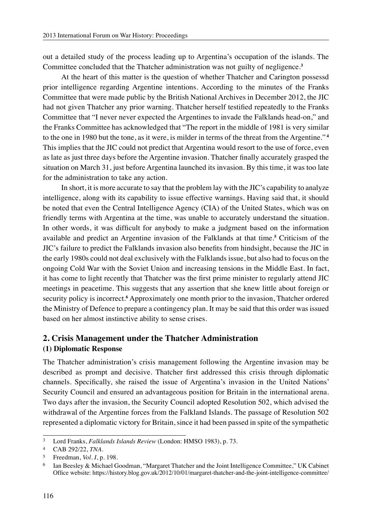out a detailed study of the process leading up to Argentina's occupation of the islands. The Committee concluded that the Thatcher administration was not guilty of negligence.**<sup>3</sup>**

At the heart of this matter is the question of whether Thatcher and Carington possessd prior intelligence regarding Argentine intentions. According to the minutes of the Franks Committee that were made public by the British National Archives in December 2012, the JIC had not given Thatcher any prior warning. Thatcher herself testified repeatedly to the Franks Committee that "I never never expected the Argentines to invade the Falklands head-on," and the Franks Committee has acknowledged that "The report in the middle of 1981 is very similar to the one in 1980 but the tone, as it were, is milder in terms of the threat from the Argentine." **<sup>4</sup>** This implies that the JIC could not predict that Argentina would resort to the use of force, even as late as just three days before the Argentine invasion. Thatcher finally accurately grasped the situation on March 31, just before Argentina launched its invasion. By this time, it was too late for the administration to take any action.

In short, it is more accurate to say that the problem lay with the JIC's capability to analyze intelligence, along with its capability to issue effective warnings. Having said that, it should be noted that even the Central Intelligence Agency (CIA) of the United States, which was on friendly terms with Argentina at the time, was unable to accurately understand the situation. In other words, it was difficult for anybody to make a judgment based on the information available and predict an Argentine invasion of the Falklands at that time.**<sup>5</sup>** Criticism of the JIC's failure to predict the Falklands invasion also benefits from hindsight, because the JIC in the early 1980s could not deal exclusively with the Falklands issue, but also had to focus on the ongoing Cold War with the Soviet Union and increasing tensions in the Middle East. In fact, it has come to light recently that Thatcher was the first prime minister to regularly attend JIC meetings in peacetime. This suggests that any assertion that she knew little about foreign or security policy is incorrect.<sup>6</sup> Approximately one month prior to the invasion, Thatcher ordered the Ministry of Defence to prepare a contingency plan. It may be said that this order was issued based on her almost instinctive ability to sense crises.

# **2. Crisis Management under the Thatcher Administration**

## **(1) Diplomatic Response**

The Thatcher administration's crisis management following the Argentine invasion may be described as prompt and decisive. Thatcher first addressed this crisis through diplomatic channels. Specifically, she raised the issue of Argentina's invasion in the United Nations' Security Council and ensured an advantageous position for Britain in the international arena. Two days after the invasion, the Security Council adopted Resolution 502, which advised the withdrawal of the Argentine forces from the Falkland Islands. The passage of Resolution 502 represented a diplomatic victory for Britain, since it had been passed in spite of the sympathetic

<sup>3</sup> Lord Franks, *Falklands Islands Review* (London: HMSO 1983), p. 73.

<sup>4</sup> CAB 292/22, *TNA*.

<sup>5</sup> Freedman, *Vol. I*, p. 198.

Ian Beesley & Michael Goodman, "Margaret Thatcher and the Joint Intelligence Committee," UK Cabinet Office website: https://history.blog.gov.uk/2012/10/01/margaret-thatcher-and-the-joint-intelligence-committee/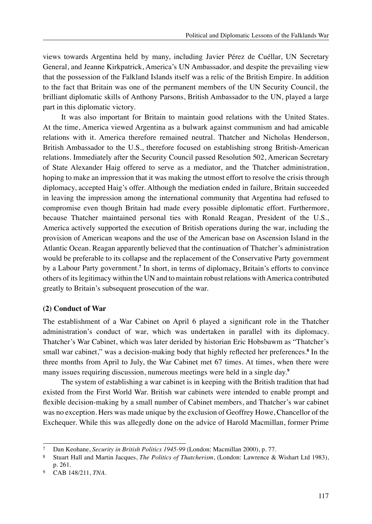views towards Argentina held by many, including Javier Pérez de Cuéllar, UN Secretary General, and Jeanne Kirkpatrick, America's UN Ambassador, and despite the prevailing view that the possession of the Falkland Islands itself was a relic of the British Empire. In addition to the fact that Britain was one of the permanent members of the UN Security Council, the brilliant diplomatic skills of Anthony Parsons, British Ambassador to the UN, played a large part in this diplomatic victory.

It was also important for Britain to maintain good relations with the United States. At the time, America viewed Argentina as a bulwark against communism and had amicable relations with it. America therefore remained neutral. Thatcher and Nicholas Henderson, British Ambassador to the U.S., therefore focused on establishing strong British-American relations. Immediately after the Security Council passed Resolution 502, American Secretary of State Alexander Haig offered to serve as a mediator, and the Thatcher administration, hoping to make an impression that it was making the utmost effort to resolve the crisis through diplomacy, accepted Haig's offer. Although the mediation ended in failure, Britain succeeded in leaving the impression among the international community that Argentina had refused to compromise even though Britain had made every possible diplomatic effort. Furthermore, because Thatcher maintained personal ties with Ronald Reagan, President of the U.S., America actively supported the execution of British operations during the war, including the provision of American weapons and the use of the American base on Ascension Island in the Atlantic Ocean. Reagan apparently believed that the continuation of Thatcher's administration would be preferable to its collapse and the replacement of the Conservative Party government by a Labour Party government.<sup>7</sup> In short, in terms of diplomacy, Britain's efforts to convince others of its legitimacy within the UN and to maintain robust relations with America contributed greatly to Britain's subsequent prosecution of the war.

#### **(2) Conduct of War**

The establishment of a War Cabinet on April 6 played a significant role in the Thatcher administration's conduct of war, which was undertaken in parallel with its diplomacy. Thatcher's War Cabinet, which was later derided by historian Eric Hobsbawm as "Thatcher's small war cabinet," was a decision-making body that highly reflected her preferences.<sup>8</sup> In the three months from April to July, the War Cabinet met 67 times. At times, when there were many issues requiring discussion, numerous meetings were held in a single day.**<sup>9</sup>**

The system of establishing a war cabinet is in keeping with the British tradition that had existed from the First World War. British war cabinets were intended to enable prompt and flexible decision-making by a small number of Cabinet members, and Thatcher's war cabinet was no exception. Hers was made unique by the exclusion of Geoffrey Howe, Chancellor of the Exchequer. While this was allegedly done on the advice of Harold Macmillan, former Prime

<sup>7</sup> Dan Keohane, *Security in British Politics 1945-99* (London: Macmillan 2000), p. 77.

<sup>8</sup> Stuart Hall and Martin Jacques, *The Politics of Thatcherism*, (London: Lawrence & Wishart Ltd 1983), p. 261.

<sup>9</sup> CAB 148/211, *TNA*.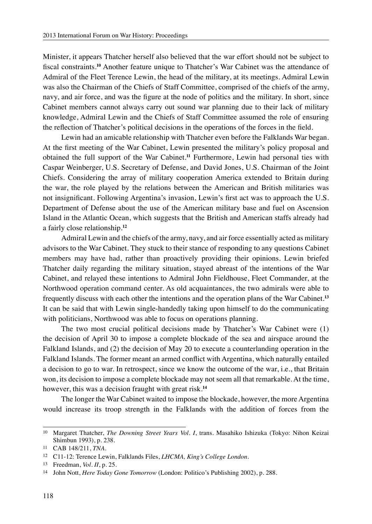Minister, it appears Thatcher herself also believed that the war effort should not be subject to fiscal constraints.**<sup>10</sup>** Another feature unique to Thatcher's War Cabinet was the attendance of Admiral of the Fleet Terence Lewin, the head of the military, at its meetings. Admiral Lewin was also the Chairman of the Chiefs of Staff Committee, comprised of the chiefs of the army, navy, and air force, and was the figure at the node of politics and the military. In short, since Cabinet members cannot always carry out sound war planning due to their lack of military knowledge, Admiral Lewin and the Chiefs of Staff Committee assumed the role of ensuring the reflection of Thatcher's political decisions in the operations of the forces in the field.

Lewin had an amicable relationship with Thatcher even before the Falklands War began. At the first meeting of the War Cabinet, Lewin presented the military's policy proposal and obtained the full support of the War Cabinet.**<sup>11</sup>** Furthermore, Lewin had personal ties with Caspar Weinberger, U.S. Secretary of Defense, and David Jones, U.S. Chairman of the Joint Chiefs. Considering the array of military cooperation America extended to Britain during the war, the role played by the relations between the American and British militaries was not insignificant. Following Argentina's invasion, Lewin's first act was to approach the U.S. Department of Defense about the use of the American military base and fuel on Ascension Island in the Atlantic Ocean, which suggests that the British and American staffs already had a fairly close relationship.**<sup>12</sup>**

Admiral Lewin and the chiefs of the army, navy, and air force essentially acted as military advisors to the War Cabinet. They stuck to their stance of responding to any questions Cabinet members may have had, rather than proactively providing their opinions. Lewin briefed Thatcher daily regarding the military situation, stayed abreast of the intentions of the War Cabinet, and relayed these intentions to Admiral John Fieldhouse, Fleet Commander, at the Northwood operation command center. As old acquaintances, the two admirals were able to frequently discuss with each other the intentions and the operation plans of the War Cabinet.**<sup>13</sup>** It can be said that with Lewin single-handedly taking upon himself to do the communicating with politicians, Northwood was able to focus on operations planning.

The two most crucial political decisions made by Thatcher's War Cabinet were (1) the decision of April 30 to impose a complete blockade of the sea and airspace around the Falkland Islands, and (2) the decision of May 20 to execute a counterlanding operation in the Falkland Islands. The former meant an armed conflict with Argentina, which naturally entailed a decision to go to war. In retrospect, since we know the outcome of the war, i.e., that Britain won, its decision to impose a complete blockade may not seem all that remarkable. At the time, however, this was a decision fraught with great risk.**<sup>14</sup>**

The longer the War Cabinet waited to impose the blockade, however, the more Argentina would increase its troop strength in the Falklands with the addition of forces from the

<sup>10</sup> Margaret Thatcher, *The Downing Street Years Vol. I*, trans. Masahiko Ishizuka (Tokyo: Nihon Keizai Shimbun 1993), p. 238.

<sup>11</sup> CAB 148/211, *TNA*.

<sup>12</sup> C11-12: Terence Lewin, Falklands Files, *LHCMA, King's College London*.

<sup>13</sup> Freedman, *Vol. II*, p. 25.

<sup>14</sup> John Nott, *Here Today Gone Tomorrow* (London: Politico's Publishing 2002), p. 288.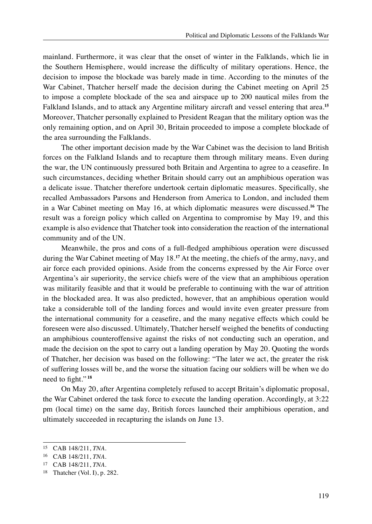mainland. Furthermore, it was clear that the onset of winter in the Falklands, which lie in the Southern Hemisphere, would increase the difficulty of military operations. Hence, the decision to impose the blockade was barely made in time. According to the minutes of the War Cabinet, Thatcher herself made the decision during the Cabinet meeting on April 25 to impose a complete blockade of the sea and airspace up to 200 nautical miles from the Falkland Islands, and to attack any Argentine military aircraft and vessel entering that area.**<sup>15</sup>** Moreover, Thatcher personally explained to President Reagan that the military option was the only remaining option, and on April 30, Britain proceeded to impose a complete blockade of the area surrounding the Falklands.

The other important decision made by the War Cabinet was the decision to land British forces on the Falkland Islands and to recapture them through military means. Even during the war, the UN continuously pressured both Britain and Argentina to agree to a ceasefire. In such circumstances, deciding whether Britain should carry out an amphibious operation was a delicate issue. Thatcher therefore undertook certain diplomatic measures. Specifically, she recalled Ambassadors Parsons and Henderson from America to London, and included them in a War Cabinet meeting on May 16, at which diplomatic measures were discussed.**<sup>16</sup>** The result was a foreign policy which called on Argentina to compromise by May 19, and this example is also evidence that Thatcher took into consideration the reaction of the international community and of the UN.

Meanwhile, the pros and cons of a full-fledged amphibious operation were discussed during the War Cabinet meeting of May 18.**<sup>17</sup>** At the meeting, the chiefs of the army, navy, and air force each provided opinions. Aside from the concerns expressed by the Air Force over Argentina's air superiority, the service chiefs were of the view that an amphibious operation was militarily feasible and that it would be preferable to continuing with the war of attrition in the blockaded area. It was also predicted, however, that an amphibious operation would take a considerable toll of the landing forces and would invite even greater pressure from the international community for a ceasefire, and the many negative effects which could be foreseen were also discussed. Ultimately, Thatcher herself weighed the benefits of conducting an amphibious counteroffensive against the risks of not conducting such an operation, and made the decision on the spot to carry out a landing operation by May 20. Quoting the words of Thatcher, her decision was based on the following: "The later we act, the greater the risk of suffering losses will be, and the worse the situation facing our soldiers will be when we do need to fight." **<sup>18</sup>**

On May 20, after Argentina completely refused to accept Britain's diplomatic proposal, the War Cabinet ordered the task force to execute the landing operation. Accordingly, at 3:22 pm (local time) on the same day, British forces launched their amphibious operation, and ultimately succeeded in recapturing the islands on June 13.

<sup>15</sup> CAB 148/211, *TNA*.

<sup>16</sup> CAB 148/211, *TNA*.

<sup>17</sup> CAB 148/211, *TNA*.

<sup>18</sup> Thatcher (Vol. I), p. 282.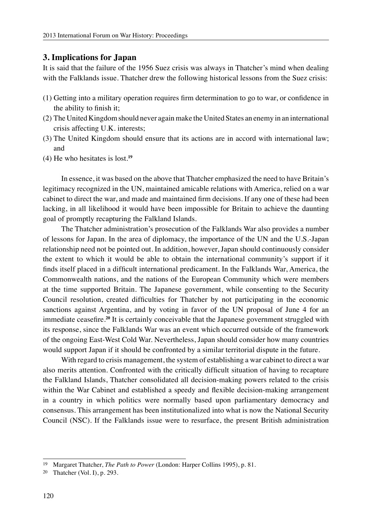#### **3. Implications for Japan**

It is said that the failure of the 1956 Suez crisis was always in Thatcher's mind when dealing with the Falklands issue. Thatcher drew the following historical lessons from the Suez crisis:

- (1) Getting into a military operation requires firm determination to go to war, or confidence in the ability to finish it;
- (2) The United Kingdom should never again make the United States an enemy in an international crisis affecting U.K. interests;
- (3) The United Kingdom should ensure that its actions are in accord with international law; and
- (4) He who hesitates is lost.**<sup>19</sup>**

In essence, it was based on the above that Thatcher emphasized the need to have Britain's legitimacy recognized in the UN, maintained amicable relations with America, relied on a war cabinet to direct the war, and made and maintained firm decisions. If any one of these had been lacking, in all likelihood it would have been impossible for Britain to achieve the daunting goal of promptly recapturing the Falkland Islands.

The Thatcher administration's prosecution of the Falklands War also provides a number of lessons for Japan. In the area of diplomacy, the importance of the UN and the U.S.-Japan relationship need not be pointed out. In addition, however, Japan should continuously consider the extent to which it would be able to obtain the international community's support if it finds itself placed in a difficult international predicament. In the Falklands War, America, the Commonwealth nations, and the nations of the European Community which were members at the time supported Britain. The Japanese government, while consenting to the Security Council resolution, created difficulties for Thatcher by not participating in the economic sanctions against Argentina, and by voting in favor of the UN proposal of June 4 for an immediate ceasefire.**<sup>20</sup>** It is certainly conceivable that the Japanese government struggled with its response, since the Falklands War was an event which occurred outside of the framework of the ongoing East-West Cold War. Nevertheless, Japan should consider how many countries would support Japan if it should be confronted by a similar territorial dispute in the future.

With regard to crisis management, the system of establishing a war cabinet to direct a war also merits attention. Confronted with the critically difficult situation of having to recapture the Falkland Islands, Thatcher consolidated all decision-making powers related to the crisis within the War Cabinet and established a speedy and flexible decision-making arrangement in a country in which politics were normally based upon parliamentary democracy and consensus. This arrangement has been institutionalized into what is now the National Security Council (NSC). If the Falklands issue were to resurface, the present British administration

<sup>19</sup> Margaret Thatcher, *The Path to Power* (London: Harper Collins 1995), p. 81.

<sup>20</sup> Thatcher (Vol. I), p. 293.